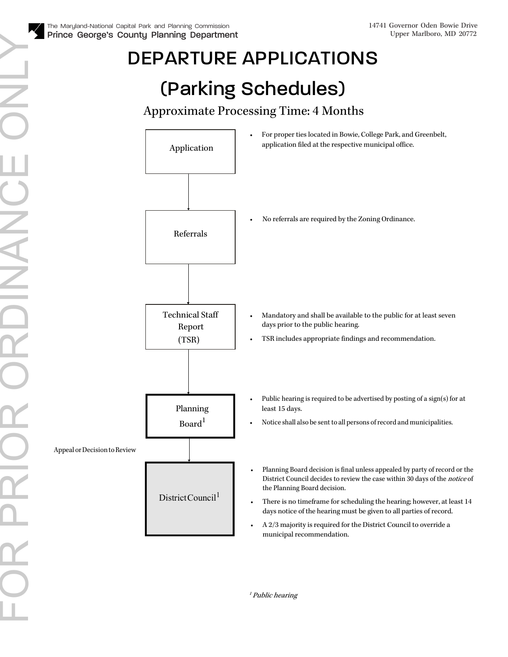## DEPARTURE APPLICATIONS

## (Parking Schedules)

#### Approximate Processing Time: 4 Months